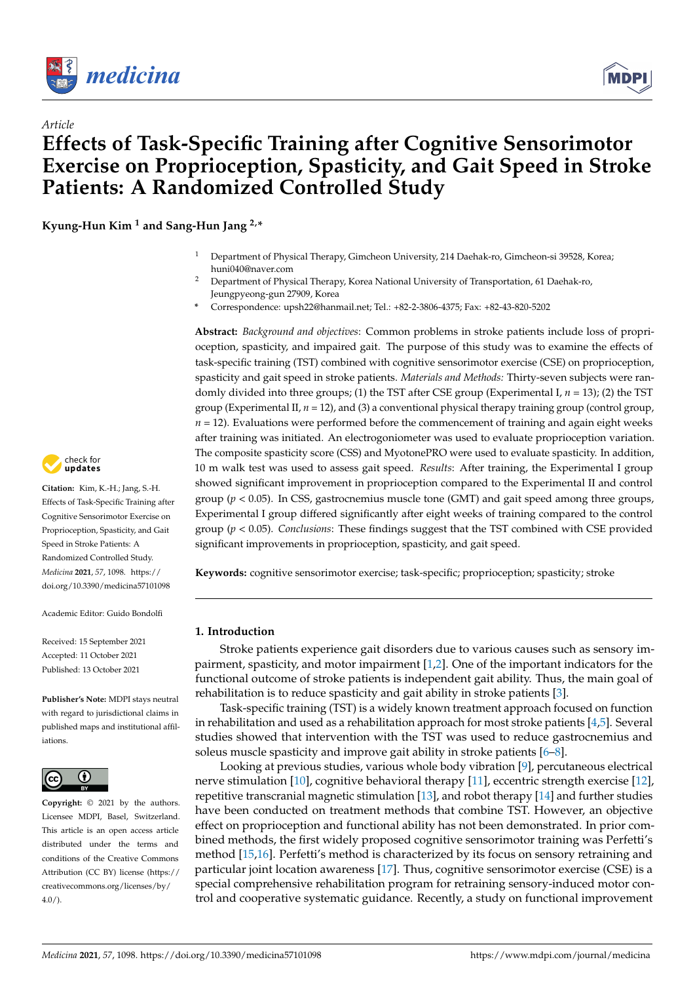

*Article*



# **Effects of Task-Specific Training after Cognitive Sensorimotor Exercise on Proprioception, Spasticity, and Gait Speed in Stroke Patients: A Randomized Controlled Study**

**Kyung-Hun Kim <sup>1</sup> and Sang-Hun Jang 2,\***

- <sup>1</sup> Department of Physical Therapy, Gimcheon University, 214 Daehak-ro, Gimcheon-si 39528, Korea; huni040@naver.com
- <sup>2</sup> Department of Physical Therapy, Korea National University of Transportation, 61 Daehak-ro, Jeungpyeong-gun 27909, Korea
- **\*** Correspondence: upsh22@hanmail.net; Tel.: +82-2-3806-4375; Fax: +82-43-820-5202

**Abstract:** *Background and objectives*: Common problems in stroke patients include loss of proprioception, spasticity, and impaired gait. The purpose of this study was to examine the effects of task-specific training (TST) combined with cognitive sensorimotor exercise (CSE) on proprioception, spasticity and gait speed in stroke patients. *Materials and Methods:* Thirty-seven subjects were randomly divided into three groups; (1) the TST after CSE group (Experimental I, *n* = 13); (2) the TST group (Experimental II, *n* = 12), and (3) a conventional physical therapy training group (control group,  $n = 12$ ). Evaluations were performed before the commencement of training and again eight weeks after training was initiated. An electrogoniometer was used to evaluate proprioception variation. The composite spasticity score (CSS) and MyotonePRO were used to evaluate spasticity. In addition, 10 m walk test was used to assess gait speed. *Results*: After training, the Experimental I group showed significant improvement in proprioception compared to the Experimental II and control group ( $p < 0.05$ ). In CSS, gastrocnemius muscle tone (GMT) and gait speed among three groups, Experimental I group differed significantly after eight weeks of training compared to the control group (*p* < 0.05). *Conclusions*: These findings suggest that the TST combined with CSE provided significant improvements in proprioception, spasticity, and gait speed.

**Keywords:** cognitive sensorimotor exercise; task-specific; proprioception; spasticity; stroke

# **1. Introduction**

Stroke patients experience gait disorders due to various causes such as sensory impairment, spasticity, and motor impairment [\[1](#page-9-0)[,2\]](#page-9-1). One of the important indicators for the functional outcome of stroke patients is independent gait ability. Thus, the main goal of rehabilitation is to reduce spasticity and gait ability in stroke patients [\[3\]](#page-9-2).

Task-specific training (TST) is a widely known treatment approach focused on function in rehabilitation and used as a rehabilitation approach for most stroke patients  $[4,5]$  $[4,5]$ . Several studies showed that intervention with the TST was used to reduce gastrocnemius and soleus muscle spasticity and improve gait ability in stroke patients [\[6](#page-9-5)[–8\]](#page-9-6).

Looking at previous studies, various whole body vibration [\[9\]](#page-9-7), percutaneous electrical nerve stimulation [\[10\]](#page-9-8), cognitive behavioral therapy [\[11\]](#page-9-9), eccentric strength exercise [\[12\]](#page-9-10), repetitive transcranial magnetic stimulation [\[13\]](#page-9-11), and robot therapy [\[14\]](#page-9-12) and further studies have been conducted on treatment methods that combine TST. However, an objective effect on proprioception and functional ability has not been demonstrated. In prior combined methods, the first widely proposed cognitive sensorimotor training was Perfetti's method [\[15](#page-9-13)[,16\]](#page-9-14). Perfetti's method is characterized by its focus on sensory retraining and particular joint location awareness [\[17\]](#page-9-15). Thus, cognitive sensorimotor exercise (CSE) is a special comprehensive rehabilitation program for retraining sensory-induced motor control and cooperative systematic guidance. Recently, a study on functional improvement



**Citation:** Kim, K.-H.; Jang, S.-H. Effects of Task-Specific Training after Cognitive Sensorimotor Exercise on Proprioception, Spasticity, and Gait Speed in Stroke Patients: A Randomized Controlled Study. *Medicina* **2021**, *57*, 1098. [https://](https://doi.org/10.3390/medicina57101098) [doi.org/10.3390/medicina57101098](https://doi.org/10.3390/medicina57101098)

Academic Editor: Guido Bondolfi

Received: 15 September 2021 Accepted: 11 October 2021 Published: 13 October 2021

**Publisher's Note:** MDPI stays neutral with regard to jurisdictional claims in published maps and institutional affiliations.



**Copyright:** © 2021 by the authors. Licensee MDPI, Basel, Switzerland. This article is an open access article distributed under the terms and conditions of the Creative Commons Attribution (CC BY) license (https:/[/](https://creativecommons.org/licenses/by/4.0/) [creativecommons.org/licenses/by/](https://creativecommons.org/licenses/by/4.0/) 4.0/).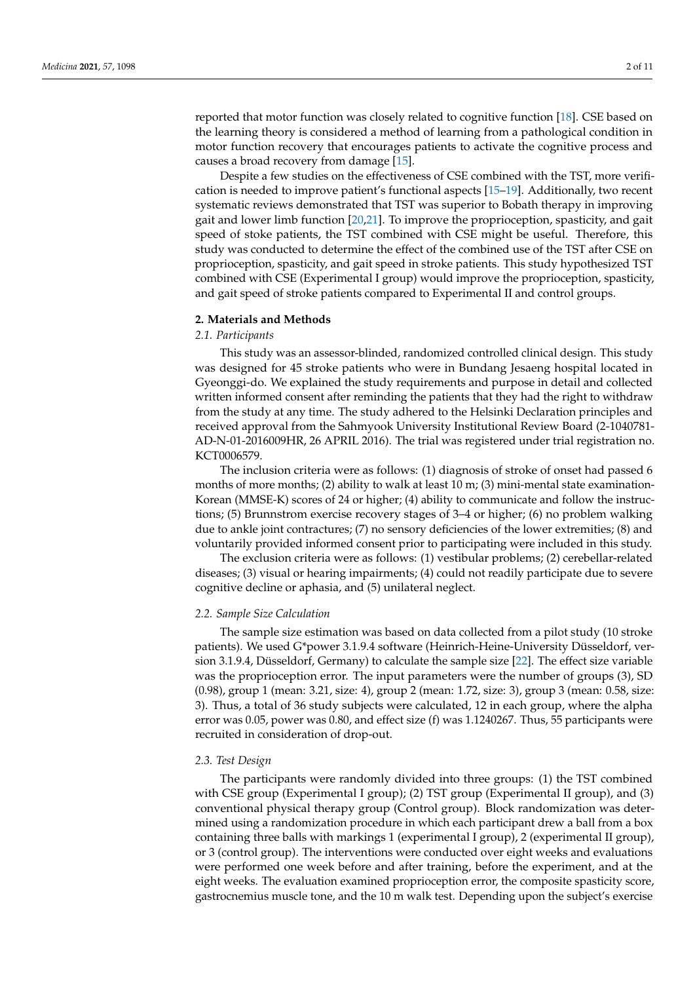reported that motor function was closely related to cognitive function [\[18\]](#page-9-16). CSE based on the learning theory is considered a method of learning from a pathological condition in motor function recovery that encourages patients to activate the cognitive process and causes a broad recovery from damage [\[15\]](#page-9-13).

Despite a few studies on the effectiveness of CSE combined with the TST, more verification is needed to improve patient's functional aspects [\[15](#page-9-13)[–19\]](#page-9-17). Additionally, two recent systematic reviews demonstrated that TST was superior to Bobath therapy in improving gait and lower limb function [\[20](#page-9-18)[,21\]](#page-9-19). To improve the proprioception, spasticity, and gait speed of stoke patients, the TST combined with CSE might be useful. Therefore, this study was conducted to determine the effect of the combined use of the TST after CSE on proprioception, spasticity, and gait speed in stroke patients. This study hypothesized TST combined with CSE (Experimental I group) would improve the proprioception, spasticity, and gait speed of stroke patients compared to Experimental II and control groups.

#### **2. Materials and Methods**

### *2.1. Participants*

This study was an assessor-blinded, randomized controlled clinical design. This study was designed for 45 stroke patients who were in Bundang Jesaeng hospital located in Gyeonggi-do. We explained the study requirements and purpose in detail and collected written informed consent after reminding the patients that they had the right to withdraw from the study at any time. The study adhered to the Helsinki Declaration principles and received approval from the Sahmyook University Institutional Review Board (2-1040781- AD-N-01-2016009HR, 26 APRIL 2016). The trial was registered under trial registration no. KCT0006579.

The inclusion criteria were as follows: (1) diagnosis of stroke of onset had passed 6 months of more months; (2) ability to walk at least 10 m; (3) mini-mental state examination-Korean (MMSE-K) scores of 24 or higher; (4) ability to communicate and follow the instructions; (5) Brunnstrom exercise recovery stages of 3–4 or higher; (6) no problem walking due to ankle joint contractures; (7) no sensory deficiencies of the lower extremities; (8) and voluntarily provided informed consent prior to participating were included in this study.

The exclusion criteria were as follows: (1) vestibular problems; (2) cerebellar-related diseases; (3) visual or hearing impairments; (4) could not readily participate due to severe cognitive decline or aphasia, and (5) unilateral neglect.

#### *2.2. Sample Size Calculation*

The sample size estimation was based on data collected from a pilot study (10 stroke patients). We used G\*power 3.1.9.4 software (Heinrich-Heine-University Düsseldorf, version 3.1.9.4, Düsseldorf, Germany) to calculate the sample size [\[22\]](#page-10-0). The effect size variable was the proprioception error. The input parameters were the number of groups (3), SD (0.98), group 1 (mean: 3.21, size: 4), group 2 (mean: 1.72, size: 3), group 3 (mean: 0.58, size: 3). Thus, a total of 36 study subjects were calculated, 12 in each group, where the alpha error was 0.05, power was 0.80, and effect size (f) was 1.1240267. Thus, 55 participants were recruited in consideration of drop-out.

#### *2.3. Test Design*

The participants were randomly divided into three groups: (1) the TST combined with CSE group (Experimental I group); (2) TST group (Experimental II group), and (3) conventional physical therapy group (Control group). Block randomization was determined using a randomization procedure in which each participant drew a ball from a box containing three balls with markings 1 (experimental I group), 2 (experimental II group), or 3 (control group). The interventions were conducted over eight weeks and evaluations were performed one week before and after training, before the experiment, and at the eight weeks. The evaluation examined proprioception error, the composite spasticity score, gastrocnemius muscle tone, and the 10 m walk test. Depending upon the subject's exercise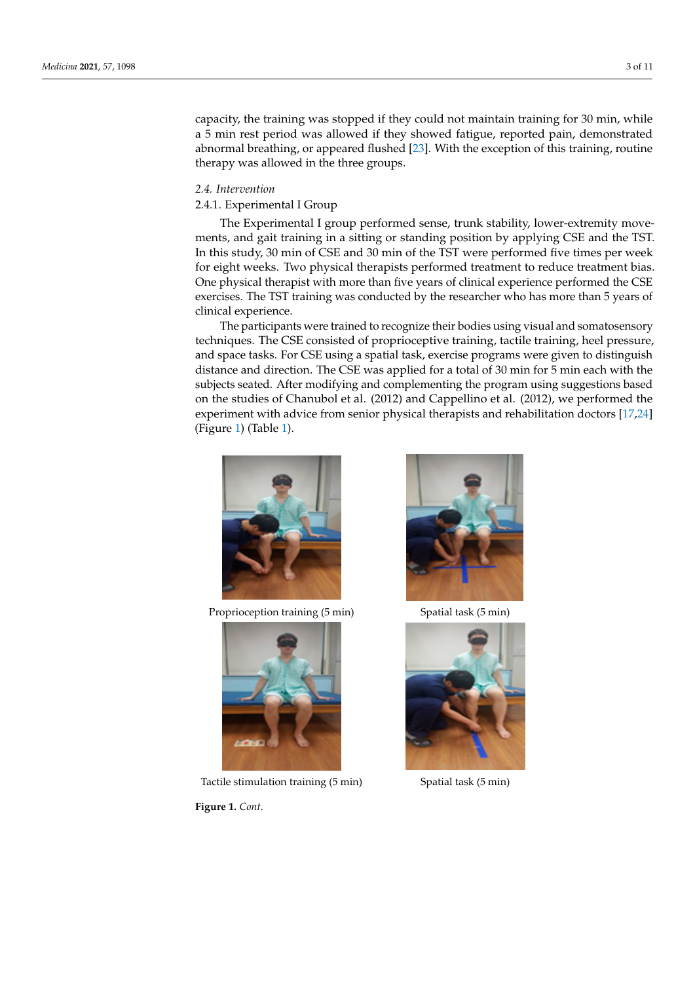capacity, the training was stopped if they could not maintain training for 30 min, while a 5 min rest period was allowed if they showed fatigue, reported pain, demonstrated a 5 min rest period was allowed if they showed fatigue, reported pain, demonstrated abnormal breathing, or appeared flushed [\[23\]](#page-10-1). With the exception of this training, routine therapy was allowed in the three groups. routine therapy was allowed in the three groups.

eight weeks. The evaluation examined proprioception error, the composite spasticity

# *2.4. Intervention 2.4. Intervention*

# 2.4.1. Experimental I Group 2.4.1. Experimental I Group

The Experimental I group performed sense, trunk stability, lower-extremity move-The Experimental I group performed sense, trunk stability, lower‐extremity move‐ ments, and gait training in a sitting or standing position by applying CSE and the TST. ments, and gait training in a sitting or standing position by applying CSE and the TST. In In this study, 30 min of CSE and 30 min of the TST were performed five times per week for eight weeks. Two physical therapists performed treatment to reduce treatment bias. One physical therapist with more than five years of clinical experience performed the CSE exercises. The TST training was conducted by the researcher who has more than 5 years of ercises. The TST training was conducted by the researcher who has more than 5 years of clinical experience. clinical experience.

The participants were trained to recognize their bodies using visual and somatosensory techniques. The CSE consisted of proprioceptive training, tactile training, heel pressure, and space tasks. For CSE using a spatial task, exercise programs were given to distinguish distance and direction. The CSE was applied for a total of  $30$  min for  $5$  min each with the subjects seated. After modifying and complementing the program using suggestions based on the studies of Chanubol et al. (2012) and Cappellino et al. (2012), we performed the experiment with advice from senior physical therapists and rehabilitation doctors  $[17,24]$  $[17,24]$ (Figure [1\)](#page-3-1) (Table 1).



Proprioception training (5 min) Spatial task (5 min)



Tactile stimulation training (5 min) Spatial task (5 min)

**Figure 1.** *Cont*.



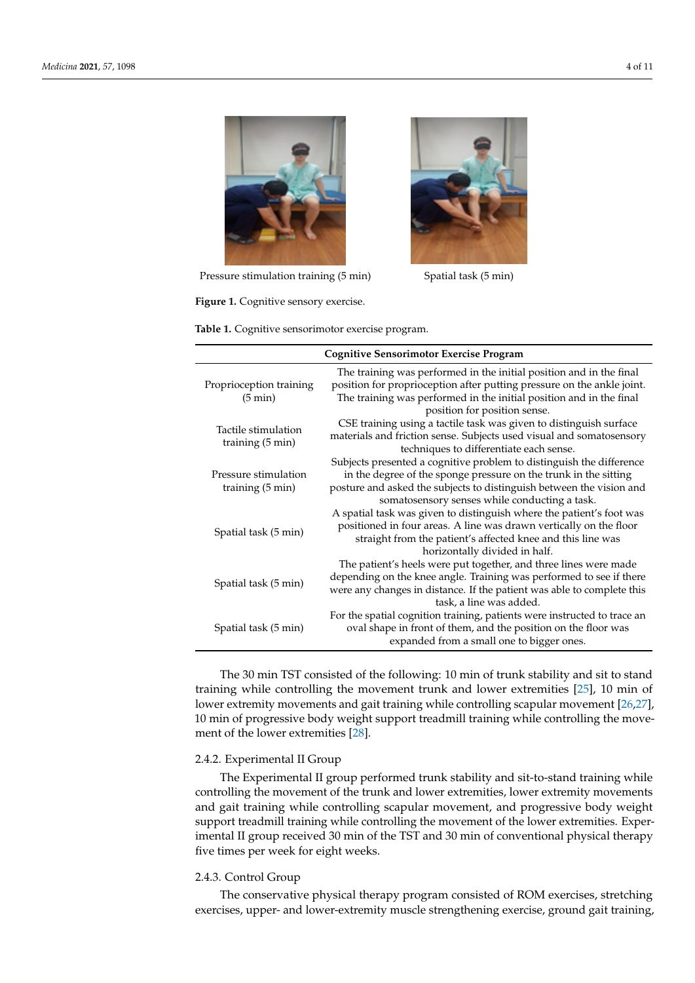<span id="page-3-0"></span>

Pressure stimulation training (5 min) Spatial task (5 min)

**Figure 1.** Cognitive sensory exercise. **Figure 1.** Cognitive sensory exercise.

<span id="page-3-1"></span>Table 1. Cognitive sensorimotor exercise program.

| <b>Cognitive Sensorimotor Exercise Program</b>                                                                                                                                                                                                                    |  |  |  |  |  |
|-------------------------------------------------------------------------------------------------------------------------------------------------------------------------------------------------------------------------------------------------------------------|--|--|--|--|--|
| The training was performed in the initial position and in the final<br>position for proprioception after putting pressure on the ankle joint.<br>The training was performed in the initial position and in the final<br>position for position sense.              |  |  |  |  |  |
| CSE training using a tactile task was given to distinguish surface<br>materials and friction sense. Subjects used visual and somatosensory<br>techniques to differentiate each sense.                                                                             |  |  |  |  |  |
| Subjects presented a cognitive problem to distinguish the difference<br>in the degree of the sponge pressure on the trunk in the sitting<br>posture and asked the subjects to distinguish between the vision and<br>somatosensory senses while conducting a task. |  |  |  |  |  |
| A spatial task was given to distinguish where the patient's foot was<br>positioned in four areas. A line was drawn vertically on the floor<br>straight from the patient's affected knee and this line was<br>horizontally divided in half.                        |  |  |  |  |  |
| The patient's heels were put together, and three lines were made<br>depending on the knee angle. Training was performed to see if there<br>were any changes in distance. If the patient was able to complete this<br>task, a line was added.                      |  |  |  |  |  |
| For the spatial cognition training, patients were instructed to trace an<br>oval shape in front of them, and the position on the floor was<br>expanded from a small one to bigger ones.                                                                           |  |  |  |  |  |
|                                                                                                                                                                                                                                                                   |  |  |  |  |  |

training while controlling the movement trunk and lower extremities [\[25\]](#page-10-3), 10 min of The patient's heels were put together, and three lines were made de‐ The 30 min TST consisted of the following: 10 min of trunk stability and sit to stand lower extremity movements and gait training while controlling scapular movement [\[26](#page-10-4)[,27\]](#page-10-5),  $\,$ ment of the lower extremities  $[28]$ . 10 min of progressive body weight support treadmill training while controlling the move-

# 2.4.2. Experimental II Group

The Experimental II group performed trunk stability and sit-to-stand training while controlling the movement of the trunk and lower extremities, lower extremity movements<br>extremity movements and gait training while controlling scapular movement, and progressive body weight support treadmill training while controlling the movement of the lower extremities. Experimental II group received 30 min of the TST and 30 min of conventional physical therapy five times per week for eight weeks.

# 2.4.3. Control Group

The conservative physical therapy program consisted of ROM exercises, stretching exercises, upper- and lower-extremity muscle strengthening exercise, ground gait training,



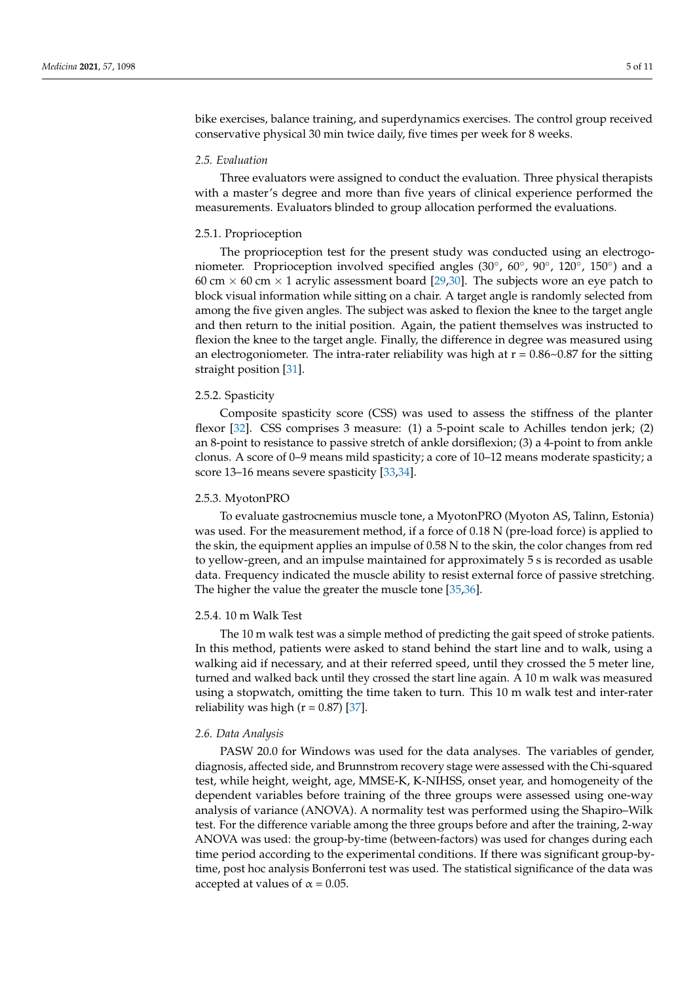bike exercises, balance training, and superdynamics exercises. The control group received conservative physical 30 min twice daily, five times per week for 8 weeks.

### *2.5. Evaluation*

Three evaluators were assigned to conduct the evaluation. Three physical therapists with a master's degree and more than five years of clinical experience performed the measurements. Evaluators blinded to group allocation performed the evaluations.

#### 2.5.1. Proprioception

The proprioception test for the present study was conducted using an electrogoniometer. Proprioception involved specified angles (30°, 60°, 90°, 120°, 150°) and a 60 cm  $\times$  60 cm  $\times$  1 acrylic assessment board [\[29,](#page-10-7)[30\]](#page-10-8). The subjects wore an eye patch to block visual information while sitting on a chair. A target angle is randomly selected from among the five given angles. The subject was asked to flexion the knee to the target angle and then return to the initial position. Again, the patient themselves was instructed to flexion the knee to the target angle. Finally, the difference in degree was measured using an electrogoniometer. The intra-rater reliability was high at  $r = 0.86 \sim 0.87$  for the sitting straight position [\[31\]](#page-10-9).

#### 2.5.2. Spasticity

Composite spasticity score (CSS) was used to assess the stiffness of the planter flexor [\[32\]](#page-10-10). CSS comprises 3 measure: (1) a 5-point scale to Achilles tendon jerk; (2) an 8-point to resistance to passive stretch of ankle dorsiflexion; (3) a 4-point to from ankle clonus. A score of 0–9 means mild spasticity; a core of 10–12 means moderate spasticity; a score 13–16 means severe spasticity [\[33,](#page-10-11)[34\]](#page-10-12).

#### 2.5.3. MyotonPRO

To evaluate gastrocnemius muscle tone, a MyotonPRO (Myoton AS, Talinn, Estonia) was used. For the measurement method, if a force of 0.18 N (pre-load force) is applied to the skin, the equipment applies an impulse of 0.58 N to the skin, the color changes from red to yellow-green, and an impulse maintained for approximately 5 s is recorded as usable data. Frequency indicated the muscle ability to resist external force of passive stretching. The higher the value the greater the muscle tone [\[35,](#page-10-13)[36\]](#page-10-14).

#### 2.5.4. 10 m Walk Test

The 10 m walk test was a simple method of predicting the gait speed of stroke patients. In this method, patients were asked to stand behind the start line and to walk, using a walking aid if necessary, and at their referred speed, until they crossed the 5 meter line, turned and walked back until they crossed the start line again. A 10 m walk was measured using a stopwatch, omitting the time taken to turn. This 10 m walk test and inter-rater reliability was high ( $r = 0.87$ ) [\[37\]](#page-10-15).

# *2.6. Data Analysis*

PASW 20.0 for Windows was used for the data analyses. The variables of gender, diagnosis, affected side, and Brunnstrom recovery stage were assessed with the Chi-squared test, while height, weight, age, MMSE-K, K-NIHSS, onset year, and homogeneity of the dependent variables before training of the three groups were assessed using one-way analysis of variance (ANOVA). A normality test was performed using the Shapiro–Wilk test. For the difference variable among the three groups before and after the training, 2-way ANOVA was used: the group-by-time (between-factors) was used for changes during each time period according to the experimental conditions. If there was significant group-bytime, post hoc analysis Bonferroni test was used. The statistical significance of the data was accepted at values of  $\alpha$  = 0.05.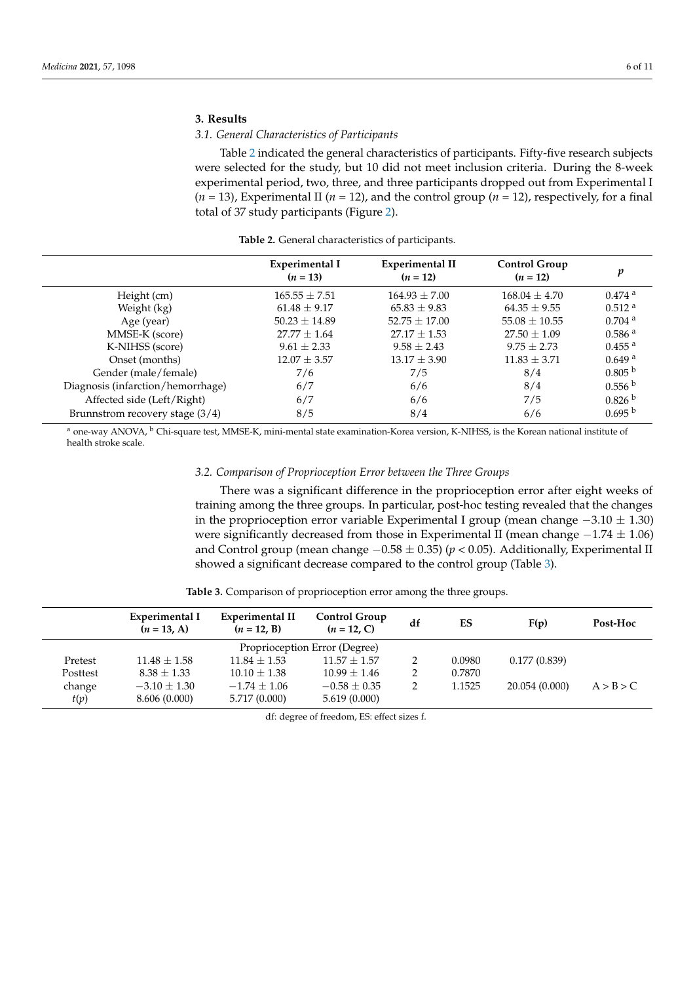# **3. Results**

# *3.1. General Characteristics of Participants*

Table [2](#page-5-0) indicated the general characteristics of participants. Fifty-five research subjects were selected for the study, but 10 did not meet inclusion criteria. During the 8-week experimental period, two, three, and three participants dropped out from Experimental I  $(n = 13)$ , Experimental II ( $n = 12$ ), and the control group ( $n = 12$ ), respectively, for a final total of 37 study participants (Figure [2\)](#page-6-0).

**Table 2.** General characteristics of participants.

<span id="page-5-0"></span>

| <b>Experimental I</b><br>$(n = 13)$ | <b>Experimental II</b><br>$(n = 12)$ | Control Group<br>$(n = 12)$ | v                    |
|-------------------------------------|--------------------------------------|-----------------------------|----------------------|
| $165.55 + 7.51$                     | $164.93 + 7.00$                      | $168.04 \pm 4.70$           | $0.474$ <sup>a</sup> |
| $61.48 \pm 9.17$                    | $65.83 \pm 9.83$                     | $64.35 \pm 9.55$            | $0.512$ <sup>a</sup> |
| $50.23 \pm 14.89$                   | $52.75 \pm 17.00$                    | $55.08 \pm 10.55$           | $0.704$ <sup>a</sup> |
| $27.77 \pm 1.64$                    | $27.17 \pm 1.53$                     | $27.50 \pm 1.09$            | 0.586 <sup>a</sup>   |
| $9.61 \pm 2.33$                     | $9.58 \pm 2.43$                      | $9.75 \pm 2.73$             | $0.455$ <sup>a</sup> |
| $12.07 \pm 3.57$                    | $13.17 \pm 3.90$                     | $11.83 \pm 3.71$            | $0.649$ <sup>a</sup> |
| 7/6                                 | 7/5                                  | 8/4                         | 0.805 <sup>b</sup>   |
| 6/7                                 | 6/6                                  | 8/4                         | 0.556 <sup>b</sup>   |
| 6/7                                 | 6/6                                  | 7/5                         | 0.826 <sup>b</sup>   |
| 8/5                                 | 8/4                                  | 6/6                         | 0.695 <sup>b</sup>   |
|                                     |                                      |                             |                      |

<sup>a</sup> one-way ANOVA, <sup>b</sup> Chi-square test, MMSE-K, mini-mental state examination-Korea version, K-NIHSS, is the Korean national institute of health stroke scale.

# *3.2. Comparison of Proprioception Error between the Three Groups*

There was a significant difference in the proprioception error after eight weeks of training among the three groups. In particular, post-hoc testing revealed that the changes in the proprioception error variable Experimental I group (mean change  $-3.10 \pm 1.30$ ) were significantly decreased from those in Experimental II (mean change  $-1.74 \pm 1.06$ ) and Control group (mean change −0.58 ± 0.35) (*p* < 0.05). Additionally, Experimental II showed a significant decrease compared to the control group (Table [3\)](#page-5-1).

<span id="page-5-1"></span>

|          | Experimental I<br>$(n = 13, A)$ | Experimental II<br>$(n = 12, B)$ | <b>Control Group</b><br>$(n = 12, C)$ | df | ES     | F(p)           | Post-Hoc  |
|----------|---------------------------------|----------------------------------|---------------------------------------|----|--------|----------------|-----------|
|          | Proprioception Error (Degree)   |                                  |                                       |    |        |                |           |
| Pretest  | $11.48 + 1.58$                  | $11.84 + 1.53$                   | $11.57 + 1.57$                        | 2  | 0.0980 | 0.177(0.839)   |           |
| Posttest | $8.38 + 1.33$                   | $10.10 + 1.38$                   | $10.99 + 1.46$                        | 2  | 0.7870 |                |           |
| change   | $-3.10 + 1.30$                  | $-1.74 \pm 1.06$                 | $-0.58 + 0.35$                        | 2  | 1.1525 | 20.054 (0.000) | A > B > C |
| t(p)     | 8.606 (0.000)                   | 5.717 (0.000)                    | 5.619(0.000)                          |    |        |                |           |

**Table 3.** Comparison of proprioception error among the three groups.

df: degree of freedom, ES: effect sizes f.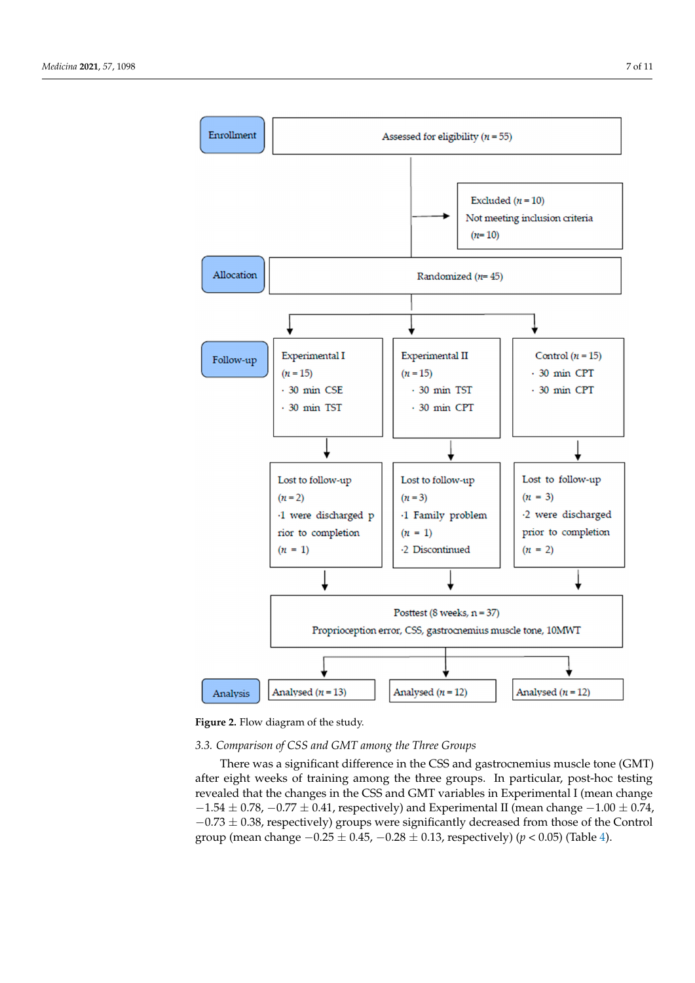<span id="page-6-0"></span>

**Figure 2.** Flow diagram of the study. **Figure 2.** Flow diagram of the study.

# *3.2. Comparison of Proprioception Error between the Three Groups 3.3. Comparison of CSS and GMT among the Three Groups*

There was a significant difference in the essential gastrochemias mascle tone (CMT) revealed that the changes in the CSS and GMT variables in Experimental I (mean change  $-1.54 \pm 0.78$ ,  $-0.77 \pm 0.41$ , respectively) and Experimental II (mean change  $-1.00 \pm 0.74$ , −0.73 ± 0.38, respectively) groups were significantly decreased from those of the Control  $t_{\text{F}}$  (mean change  $-0.75 \pm 0.45$ )  $-0.28 \pm 0.13$  reconstructly) (*p* < 0.05). (Table 4) group (mean change  $-0.25 \pm 0.45$ ,  $-0.28 \pm 0.13$ , respectively) (*p* < 0.05) (Table [4\)](#page-7-0). There was a significant difference in the CSS and gastrocnemius muscle tone (GMT)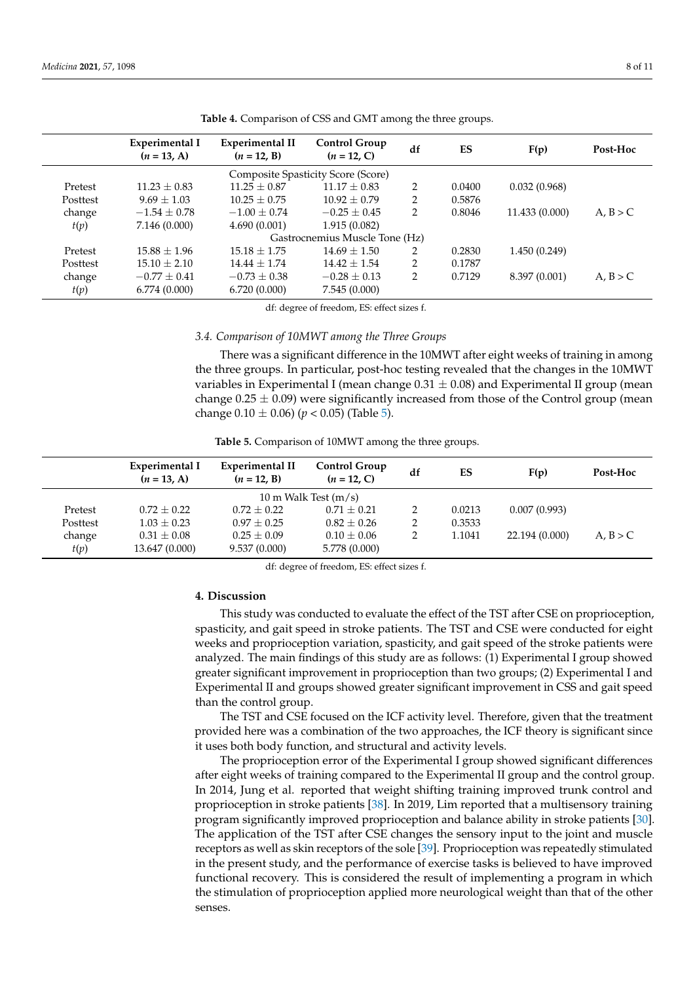<span id="page-7-0"></span>

|                                    | Experimental I<br>$(n = 13, A)$ | <b>Experimental II</b><br>$(n = 12, B)$ | <b>Control Group</b><br>$(n = 12, C)$ | df | ES     | F(p)           | Post-Hoc |  |  |
|------------------------------------|---------------------------------|-----------------------------------------|---------------------------------------|----|--------|----------------|----------|--|--|
| Composite Spasticity Score (Score) |                                 |                                         |                                       |    |        |                |          |  |  |
| Pretest                            | $11.23 + 0.83$                  | $11.25 + 0.87$                          | $11.17 \pm 0.83$                      | 2  | 0.0400 | 0.032(0.968)   |          |  |  |
| Posttest                           | $9.69 \pm 1.03$                 | $10.25 \pm 0.75$                        | $10.92 + 0.79$                        | 2  | 0.5876 |                |          |  |  |
| change                             | $-1.54 \pm 0.78$                | $-1.00 + 0.74$                          | $-0.25 + 0.45$                        | 2  | 0.8046 | 11.433 (0.000) | A, B > C |  |  |
| t(p)                               | 7.146 (0.000)                   | 4.690(0.001)                            | 1.915(0.082)                          |    |        |                |          |  |  |
|                                    | Gastrocnemius Muscle Tone (Hz)  |                                         |                                       |    |        |                |          |  |  |
| Pretest                            | $15.88 + 1.96$                  | $15.18 \pm 1.75$                        | $14.69 + 1.50$                        | 2  | 0.2830 | 1.450(0.249)   |          |  |  |
| Posttest                           | $15.10 \pm 2.10$                | $14.44 + 1.74$                          | $14.42 + 1.54$                        | 2  | 0.1787 |                |          |  |  |
| change                             | $-0.77 \pm 0.41$                | $-0.73 \pm 0.38$                        | $-0.28 + 0.13$                        | 2  | 0.7129 | 8.397 (0.001)  | A, B > C |  |  |
| t(p)                               | 6.774(0.000)                    | 6.720(0.000)                            | 7.545(0.000)                          |    |        |                |          |  |  |

**Table 4.** Comparison of CSS and GMT among the three groups.

df: degree of freedom, ES: effect sizes f.

## *3.4. Comparison of 10MWT among the Three Groups*

There was a significant difference in the 10MWT after eight weeks of training in among the three groups. In particular, post-hoc testing revealed that the changes in the 10MWT variables in Experimental I (mean change  $0.31 \pm 0.08$ ) and Experimental II group (mean change  $0.25 \pm 0.09$ ) were significantly increased from those of the Control group (mean change  $0.10 \pm 0.06$ ) ( $p < 0.05$ ) (Table [5\)](#page-7-1).

**Table 5.** Comparison of 10MWT among the three groups.

<span id="page-7-1"></span>

|          | Experimental I<br>$(n = 13, A)$ | <b>Experimental II</b><br>$(n = 12, B)$ | Control Group<br>$(n = 12, C)$ | df | ES     | F(p)           | Post-Hoc |  |
|----------|---------------------------------|-----------------------------------------|--------------------------------|----|--------|----------------|----------|--|
|          | 10 m Walk Test $(m/s)$          |                                         |                                |    |        |                |          |  |
| Pretest  | $0.72 + 0.22$                   | $0.72 + 0.22$                           | $0.71 + 0.21$                  | 2  | 0.0213 | 0.007(0.993)   |          |  |
| Posttest | $1.03 + 0.23$                   | $0.97 + 0.25$                           | $0.82 + 0.26$                  | 2  | 0.3533 |                |          |  |
| change   | $0.31 \pm 0.08$                 | $0.25 + 0.09$                           | $0.10 \pm 0.06$                | 2  | 1.1041 | 22.194 (0.000) | A, B > C |  |
| t(p)     | 13.647 (0.000)                  | 9.537(0.000)                            | 5.778 (0.000)                  |    |        |                |          |  |

df: degree of freedom, ES: effect sizes f.

# **4. Discussion**

This study was conducted to evaluate the effect of the TST after CSE on proprioception, spasticity, and gait speed in stroke patients. The TST and CSE were conducted for eight weeks and proprioception variation, spasticity, and gait speed of the stroke patients were analyzed. The main findings of this study are as follows: (1) Experimental I group showed greater significant improvement in proprioception than two groups; (2) Experimental I and Experimental II and groups showed greater significant improvement in CSS and gait speed than the control group.

The TST and CSE focused on the ICF activity level. Therefore, given that the treatment provided here was a combination of the two approaches, the ICF theory is significant since it uses both body function, and structural and activity levels.

The proprioception error of the Experimental I group showed significant differences after eight weeks of training compared to the Experimental II group and the control group. In 2014, Jung et al. reported that weight shifting training improved trunk control and proprioception in stroke patients [\[38\]](#page-10-16). In 2019, Lim reported that a multisensory training program significantly improved proprioception and balance ability in stroke patients [\[30\]](#page-10-8). The application of the TST after CSE changes the sensory input to the joint and muscle receptors as well as skin receptors of the sole [\[39\]](#page-10-17). Proprioception was repeatedly stimulated in the present study, and the performance of exercise tasks is believed to have improved functional recovery. This is considered the result of implementing a program in which the stimulation of proprioception applied more neurological weight than that of the other senses.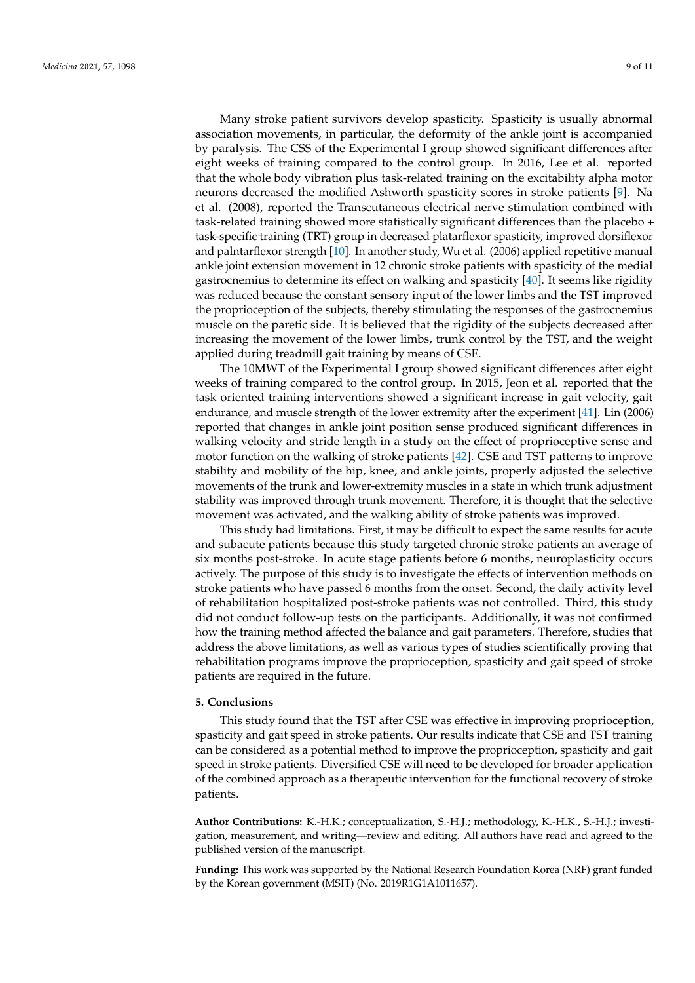Many stroke patient survivors develop spasticity. Spasticity is usually abnormal association movements, in particular, the deformity of the ankle joint is accompanied by paralysis. The CSS of the Experimental I group showed significant differences after eight weeks of training compared to the control group. In 2016, Lee et al. reported that the whole body vibration plus task-related training on the excitability alpha motor neurons decreased the modified Ashworth spasticity scores in stroke patients [\[9\]](#page-9-7). Na et al. (2008), reported the Transcutaneous electrical nerve stimulation combined with task-related training showed more statistically significant differences than the placebo + task-specific training (TRT) group in decreased platarflexor spasticity, improved dorsiflexor and palntarflexor strength [\[10\]](#page-9-8). In another study, Wu et al. (2006) applied repetitive manual ankle joint extension movement in 12 chronic stroke patients with spasticity of the medial gastrocnemius to determine its effect on walking and spasticity [\[40\]](#page-10-18). It seems like rigidity was reduced because the constant sensory input of the lower limbs and the TST improved the proprioception of the subjects, thereby stimulating the responses of the gastrocnemius muscle on the paretic side. It is believed that the rigidity of the subjects decreased after increasing the movement of the lower limbs, trunk control by the TST, and the weight applied during treadmill gait training by means of CSE.

The 10MWT of the Experimental I group showed significant differences after eight weeks of training compared to the control group. In 2015, Jeon et al. reported that the task oriented training interventions showed a significant increase in gait velocity, gait endurance, and muscle strength of the lower extremity after the experiment [\[41\]](#page-10-19). Lin (2006) reported that changes in ankle joint position sense produced significant differences in walking velocity and stride length in a study on the effect of proprioceptive sense and motor function on the walking of stroke patients [\[42\]](#page-10-20). CSE and TST patterns to improve stability and mobility of the hip, knee, and ankle joints, properly adjusted the selective movements of the trunk and lower-extremity muscles in a state in which trunk adjustment stability was improved through trunk movement. Therefore, it is thought that the selective movement was activated, and the walking ability of stroke patients was improved.

This study had limitations. First, it may be difficult to expect the same results for acute and subacute patients because this study targeted chronic stroke patients an average of six months post-stroke. In acute stage patients before 6 months, neuroplasticity occurs actively. The purpose of this study is to investigate the effects of intervention methods on stroke patients who have passed 6 months from the onset. Second, the daily activity level of rehabilitation hospitalized post-stroke patients was not controlled. Third, this study did not conduct follow-up tests on the participants. Additionally, it was not confirmed how the training method affected the balance and gait parameters. Therefore, studies that address the above limitations, as well as various types of studies scientifically proving that rehabilitation programs improve the proprioception, spasticity and gait speed of stroke patients are required in the future.

#### **5. Conclusions**

This study found that the TST after CSE was effective in improving proprioception, spasticity and gait speed in stroke patients. Our results indicate that CSE and TST training can be considered as a potential method to improve the proprioception, spasticity and gait speed in stroke patients. Diversified CSE will need to be developed for broader application of the combined approach as a therapeutic intervention for the functional recovery of stroke patients.

**Author Contributions:** K.-H.K.; conceptualization, S.-H.J.; methodology, K.-H.K., S.-H.J.; investigation, measurement, and writing—review and editing. All authors have read and agreed to the published version of the manuscript.

**Funding:** This work was supported by the National Research Foundation Korea (NRF) grant funded by the Korean government (MSIT) (No. 2019R1G1A1011657).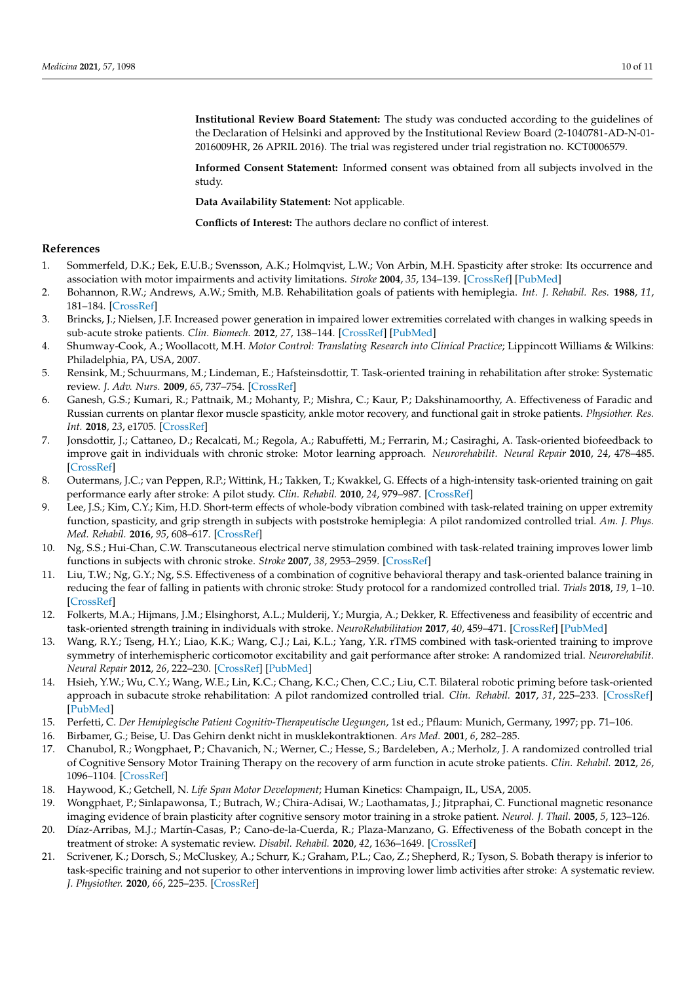**Institutional Review Board Statement:** The study was conducted according to the guidelines of the Declaration of Helsinki and approved by the Institutional Review Board (2-1040781-AD-N-01- 2016009HR, 26 APRIL 2016). The trial was registered under trial registration no. KCT0006579.

**Informed Consent Statement:** Informed consent was obtained from all subjects involved in the study.

**Data Availability Statement:** Not applicable.

**Conflicts of Interest:** The authors declare no conflict of interest.

# **References**

- <span id="page-9-0"></span>1. Sommerfeld, D.K.; Eek, E.U.B.; Svensson, A.K.; Holmqvist, L.W.; Von Arbin, M.H. Spasticity after stroke: Its occurrence and association with motor impairments and activity limitations. *Stroke* **2004**, *35*, 134–139. [\[CrossRef\]](http://doi.org/10.1161/01.STR.0000105386.05173.5E) [\[PubMed\]](http://www.ncbi.nlm.nih.gov/pubmed/14684785)
- <span id="page-9-1"></span>2. Bohannon, R.W.; Andrews, A.W.; Smith, M.B. Rehabilitation goals of patients with hemiplegia. *Int. J. Rehabil. Res.* **1988**, *11*, 181–184. [\[CrossRef\]](http://doi.org/10.1097/00004356-198806000-00012)
- <span id="page-9-2"></span>3. Brincks, J.; Nielsen, J.F. Increased power generation in impaired lower extremities correlated with changes in walking speeds in sub-acute stroke patients. *Clin. Biomech.* **2012**, *27*, 138–144. [\[CrossRef\]](http://doi.org/10.1016/j.clinbiomech.2011.08.007) [\[PubMed\]](http://www.ncbi.nlm.nih.gov/pubmed/21899933)
- <span id="page-9-3"></span>4. Shumway-Cook, A.; Woollacott, M.H. *Motor Control: Translating Research into Clinical Practice*; Lippincott Williams & Wilkins: Philadelphia, PA, USA, 2007.
- <span id="page-9-4"></span>5. Rensink, M.; Schuurmans, M.; Lindeman, E.; Hafsteinsdottir, T. Task-oriented training in rehabilitation after stroke: Systematic review. *J. Adv. Nurs.* **2009**, *65*, 737–754. [\[CrossRef\]](http://doi.org/10.1111/j.1365-2648.2008.04925.x)
- <span id="page-9-5"></span>6. Ganesh, G.S.; Kumari, R.; Pattnaik, M.; Mohanty, P.; Mishra, C.; Kaur, P.; Dakshinamoorthy, A. Effectiveness of Faradic and Russian currents on plantar flexor muscle spasticity, ankle motor recovery, and functional gait in stroke patients. *Physiother. Res. Int.* **2018**, *23*, e1705. [\[CrossRef\]](http://doi.org/10.1002/pri.1705)
- 7. Jonsdottir, J.; Cattaneo, D.; Recalcati, M.; Regola, A.; Rabuffetti, M.; Ferrarin, M.; Casiraghi, A. Task-oriented biofeedback to improve gait in individuals with chronic stroke: Motor learning approach. *Neurorehabilit. Neural Repair* **2010**, *24*, 478–485. [\[CrossRef\]](http://doi.org/10.1177/1545968309355986)
- <span id="page-9-6"></span>8. Outermans, J.C.; van Peppen, R.P.; Wittink, H.; Takken, T.; Kwakkel, G. Effects of a high-intensity task-oriented training on gait performance early after stroke: A pilot study. *Clin. Rehabil.* **2010**, *24*, 979–987. [\[CrossRef\]](http://doi.org/10.1177/0269215509360647)
- <span id="page-9-7"></span>9. Lee, J.S.; Kim, C.Y.; Kim, H.D. Short-term effects of whole-body vibration combined with task-related training on upper extremity function, spasticity, and grip strength in subjects with poststroke hemiplegia: A pilot randomized controlled trial. *Am. J. Phys. Med. Rehabil.* **2016**, *95*, 608–617. [\[CrossRef\]](http://doi.org/10.1097/PHM.0000000000000454)
- <span id="page-9-8"></span>10. Ng, S.S.; Hui-Chan, C.W. Transcutaneous electrical nerve stimulation combined with task-related training improves lower limb functions in subjects with chronic stroke. *Stroke* **2007**, *38*, 2953–2959. [\[CrossRef\]](http://doi.org/10.1161/STROKEAHA.107.490318)
- <span id="page-9-9"></span>11. Liu, T.W.; Ng, G.Y.; Ng, S.S. Effectiveness of a combination of cognitive behavioral therapy and task-oriented balance training in reducing the fear of falling in patients with chronic stroke: Study protocol for a randomized controlled trial. *Trials* **2018**, *19*, 1–10. [\[CrossRef\]](http://doi.org/10.1186/s13063-018-2549-z)
- <span id="page-9-10"></span>12. Folkerts, M.A.; Hijmans, J.M.; Elsinghorst, A.L.; Mulderij, Y.; Murgia, A.; Dekker, R. Effectiveness and feasibility of eccentric and task-oriented strength training in individuals with stroke. *NeuroRehabilitation* **2017**, *40*, 459–471. [\[CrossRef\]](http://doi.org/10.3233/NRE-171433) [\[PubMed\]](http://www.ncbi.nlm.nih.gov/pubmed/28211820)
- <span id="page-9-11"></span>13. Wang, R.Y.; Tseng, H.Y.; Liao, K.K.; Wang, C.J.; Lai, K.L.; Yang, Y.R. rTMS combined with task-oriented training to improve symmetry of interhemispheric corticomotor excitability and gait performance after stroke: A randomized trial. *Neurorehabilit. Neural Repair* **2012**, *26*, 222–230. [\[CrossRef\]](http://doi.org/10.1177/1545968311423265) [\[PubMed\]](http://www.ncbi.nlm.nih.gov/pubmed/21974983)
- <span id="page-9-12"></span>14. Hsieh, Y.W.; Wu, C.Y.; Wang, W.E.; Lin, K.C.; Chang, K.C.; Chen, C.C.; Liu, C.T. Bilateral robotic priming before task-oriented approach in subacute stroke rehabilitation: A pilot randomized controlled trial. *Clin. Rehabil.* **2017**, *31*, 225–233. [\[CrossRef\]](http://doi.org/10.1177/0269215516633275) [\[PubMed\]](http://www.ncbi.nlm.nih.gov/pubmed/26893457)
- <span id="page-9-13"></span>15. Perfetti, C. *Der Hemiplegische Patient Cognitiv-Therapeutische Uegungen*, 1st ed.; Pflaum: Munich, Germany, 1997; pp. 71–106.
- <span id="page-9-14"></span>16. Birbamer, G.; Beise, U. Das Gehirn denkt nicht in musklekontraktionen. *Ars Med.* **2001**, *6*, 282–285.
- <span id="page-9-15"></span>17. Chanubol, R.; Wongphaet, P.; Chavanich, N.; Werner, C.; Hesse, S.; Bardeleben, A.; Merholz, J. A randomized controlled trial of Cognitive Sensory Motor Training Therapy on the recovery of arm function in acute stroke patients. *Clin. Rehabil.* **2012**, *26*, 1096–1104. [\[CrossRef\]](http://doi.org/10.1177/0269215512444631)
- <span id="page-9-16"></span>18. Haywood, K.; Getchell, N. *Life Span Motor Development*; Human Kinetics: Champaign, IL, USA, 2005.
- <span id="page-9-17"></span>19. Wongphaet, P.; Sinlapawonsa, T.; Butrach, W.; Chira-Adisai, W.; Laothamatas, J.; Jitpraphai, C. Functional magnetic resonance imaging evidence of brain plasticity after cognitive sensory motor training in a stroke patient. *Neurol. J. Thail.* **2005**, *5*, 123–126.
- <span id="page-9-18"></span>20. Díaz-Arribas, M.J.; Martín-Casas, P.; Cano-de-la-Cuerda, R.; Plaza-Manzano, G. Effectiveness of the Bobath concept in the treatment of stroke: A systematic review. *Disabil. Rehabil.* **2020**, *42*, 1636–1649. [\[CrossRef\]](http://doi.org/10.1080/09638288.2019.1590865)
- <span id="page-9-19"></span>21. Scrivener, K.; Dorsch, S.; McCluskey, A.; Schurr, K.; Graham, P.L.; Cao, Z.; Shepherd, R.; Tyson, S. Bobath therapy is inferior to task-specific training and not superior to other interventions in improving lower limb activities after stroke: A systematic review. *J. Physiother.* **2020**, *66*, 225–235. [\[CrossRef\]](http://doi.org/10.1016/j.jphys.2020.09.008)